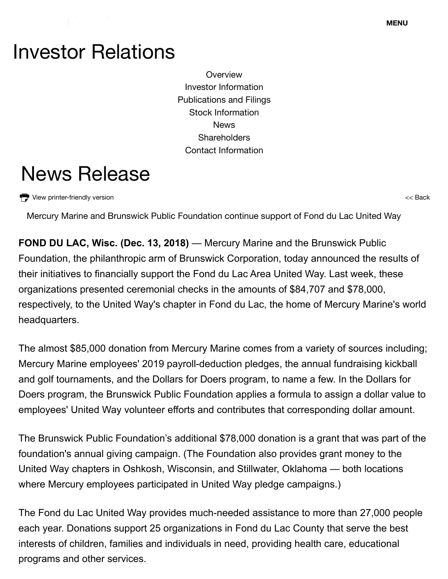## Investor Relations

**Overview** Investor Information Publications and Filings Stock Information News **Shareholders** Contact Information

## News Release

View printer-friendly version

<< Back

Mercury Marine and Brunswick Public Foundation continue support of Fond du Lac United Way

**FOND DU LAC, Wisc. (Dec. 13, 2018)** — Mercury Marine and the Brunswick Public Foundation, the philanthropic arm of Brunswick Corporation, today announced the results of their initiatives to financially support the Fond du Lac Area United Way. Last week, these organizations presented ceremonial checks in the amounts of \$84,707 and \$78,000, respectively, to the United Way's chapter in Fond du Lac, the home of Mercury Marine's world headquarters.

The almost \$85,000 donation from Mercury Marine comes from a variety of sources including; Mercury Marine employees' 2019 payroll-deduction pledges, the annual fundraising kickball and golf tournaments, and the Dollars for Doers program, to name a few. In the Dollars for Doers program, the Brunswick Public Foundation applies a formula to assign a dollar value to employees' United Way volunteer efforts and contributes that corresponding dollar amount.

The Brunswick Public Foundation's additional \$78,000 donation is a grant that was part of the foundation's annual giving campaign. (The Foundation also provides grant money to the United Way chapters in Oshkosh, Wisconsin, and Stillwater, Oklahoma — both locations where Mercury employees participated in United Way pledge campaigns.)

http://ir.brunswick.com/news-releases/news-release-details/mercury-marine-and-brunswick-public-foundation-continue-support 1/2 The Fond du Lac United Way provides much-needed assistance to more than 27,000 people each year. Donations support 25 organizations in Fond du Lac County that serve the best interests of children, families and individuals in need, providing health care, educational programs and other services.